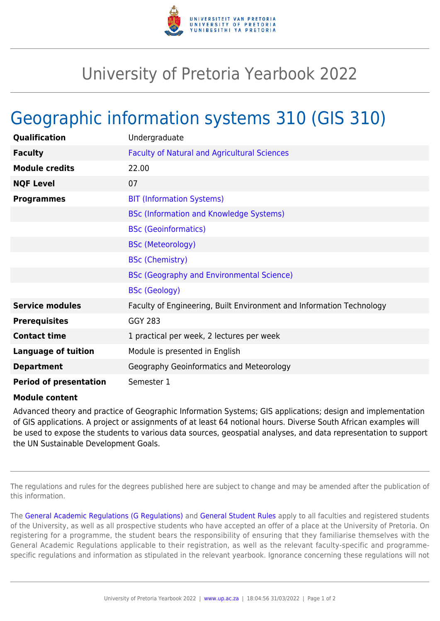

## University of Pretoria Yearbook 2022

## Geographic information systems 310 (GIS 310)

| Qualification                 | Undergraduate                                                        |
|-------------------------------|----------------------------------------------------------------------|
| <b>Faculty</b>                | <b>Faculty of Natural and Agricultural Sciences</b>                  |
| <b>Module credits</b>         | 22.00                                                                |
| <b>NQF Level</b>              | 07                                                                   |
| <b>Programmes</b>             | <b>BIT (Information Systems)</b>                                     |
|                               | <b>BSc (Information and Knowledge Systems)</b>                       |
|                               | <b>BSc (Geoinformatics)</b>                                          |
|                               | <b>BSc (Meteorology)</b>                                             |
|                               | <b>BSc (Chemistry)</b>                                               |
|                               | <b>BSc (Geography and Environmental Science)</b>                     |
|                               | <b>BSc (Geology)</b>                                                 |
| <b>Service modules</b>        | Faculty of Engineering, Built Environment and Information Technology |
| <b>Prerequisites</b>          | <b>GGY 283</b>                                                       |
| <b>Contact time</b>           | 1 practical per week, 2 lectures per week                            |
| <b>Language of tuition</b>    | Module is presented in English                                       |
| <b>Department</b>             | Geography Geoinformatics and Meteorology                             |
| <b>Period of presentation</b> | Semester 1                                                           |

## **Module content**

Advanced theory and practice of Geographic Information Systems; GIS applications; design and implementation of GIS applications. A project or assignments of at least 64 notional hours. Diverse South African examples will be used to expose the students to various data sources, geospatial analyses, and data representation to support the UN Sustainable Development Goals.

The regulations and rules for the degrees published here are subject to change and may be amended after the publication of this information.

The [General Academic Regulations \(G Regulations\)](https://www.up.ac.za/yearbooks/2022/rules/view/REG) and [General Student Rules](https://www.up.ac.za/yearbooks/2022/rules/view/RUL) apply to all faculties and registered students of the University, as well as all prospective students who have accepted an offer of a place at the University of Pretoria. On registering for a programme, the student bears the responsibility of ensuring that they familiarise themselves with the General Academic Regulations applicable to their registration, as well as the relevant faculty-specific and programmespecific regulations and information as stipulated in the relevant yearbook. Ignorance concerning these regulations will not